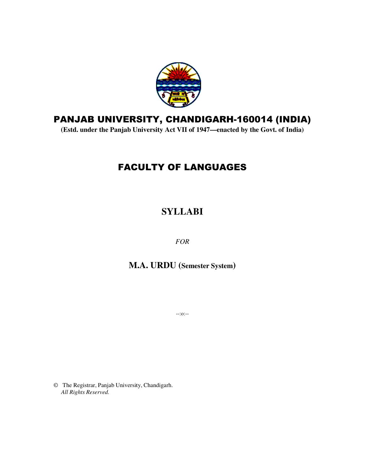

# PANJAB UNIVERSITY, CHANDIGARH-160014 (INDIA)

(Estd. under the Panjab University Act VII of 1947—enacted by the Govt. of India)

# FAC ACULTY OF LANGUAGES

# **SYLLABI**

*FOR*

**M M.A. URDU (Semester System)**

--:o:--

© The Registrar, Panjab University, Chandigarh. *All Rights Reserved.*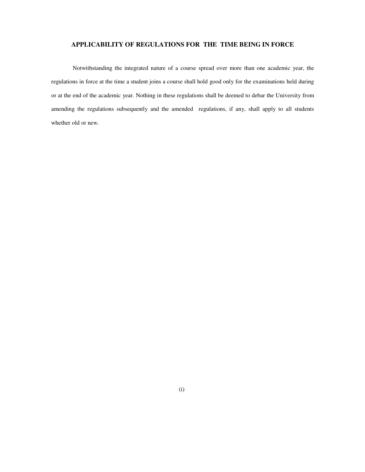### **APPLICABILITY OF REGULATIONS FOR THE TIME BEING IN FORCE**

Notwithstanding the integrated nature of a course spread over more than one academic year, the regulations in force at the time a student joins a course shall hold good only for the examinations held during or at the end of the academic year. Nothing in these regulations shall be deemed to debar the University from amending the regulations subsequently and the amended regulations, if any, shall apply to all students whether old or new.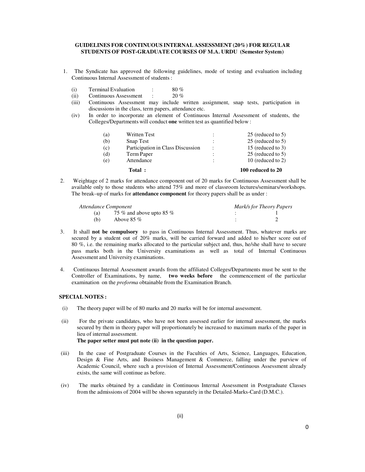### **GUIDELINES FOR CONTINUOUS INTERNAL ASSESSMENT (20%) FOR REGULAR STUDENTS OF POST-GRADUATE COURSES OF M.A. URDU (Semester System)**

- 1. The Syndicate has approved the following guidelines, mode of testing and evaluation including Continuous Internal Assessment of students :
	- (i) Terminal Evaluation :  $80\%$
	- (ii) Continuous Assessment : 20 %
	- (iii) Continuous Assessment may include written assignment, snap tests, participation in discussions in the class, term papers, attendance etc.
	- (iv) In order to incorporate an element of Continuous Internal Assessment of students, the Colleges/Departments will conduct **one** written test as quantified below :

|     | Total:                            |                      | 100 reduced to 20 |
|-----|-----------------------------------|----------------------|-------------------|
| (e) | Attendance                        | $\ddot{\phantom{a}}$ | 10 (reduced to 2) |
| (d) | Term Paper                        | $\ddot{\cdot}$       | 25 (reduced to 5) |
| (c) | Participation in Class Discussion | $\ddot{\phantom{a}}$ | 15 (reduced to 3) |
| (b) | Snap Test                         | $\ddot{\cdot}$       | 25 (reduced to 5) |
| (a) | <b>Written Test</b>               | $\ddot{\cdot}$       | 25 (reduced to 5) |
|     |                                   |                      |                   |

2. Weightage of 2 marks for attendance component out of 20 marks for Continuous Assessment shall be available only to those students who attend 75% and more of classroom lectures/seminars/workshops. The break–up of marks for **attendance component** for theory papers shall be as under :

| Attendance Component |                          | Mark/s for Theory Papers |  |
|----------------------|--------------------------|--------------------------|--|
| (a)                  | 75 % and above upto 85 % |                          |  |
| (b)                  | Above 85 $%$             |                          |  |

- 3. It shall **not be compulsory** to pass in Continuous Internal Assessment. Thus, whatever marks are secured by a student out of 20% marks, will be carried forward and added to his/her score out of 80 %, i.e. the remaining marks allocated to the particular subject and, thus, he/she shall have to secure pass marks both in the University examinations as well as total of Internal Continuous Assessment and University examinations.
- 4. Continuous Internal Assessment awards from the affiliated Colleges/Departments must be sent to the Controller of Examinations, by name, **two weeks before** the commencement of the particular examination on the *proforma* obtainable from the Examination Branch.

### **SPECIAL NOTES :**

- (i) The theory paper will be of 80 marks and 20 marks will be for internal assessment.
- (ii) For the private candidates, who have not been assessed earlier for internal assessment, the marks secured by them in theory paper will proportionately be increased to maximum marks of the paper in lieu of internal assessment. **The paper setter must put note (ii) in the question paper.**
- (iii) In the case of Postgraduate Courses in the Faculties of Arts, Science, Languages, Education, Design & Fine Arts, and Business Management & Commerce, falling under the purview of Academic Council, where such a provision of Internal Assessment/Continuous Assessment already exists, the same will continue as before.
- (iv) The marks obtained by a candidate in Continuous Internal Assessment in Postgraduate Classes from the admissions of 2004 will be shown separately in the Detailed-Marks-Card (D.M.C.).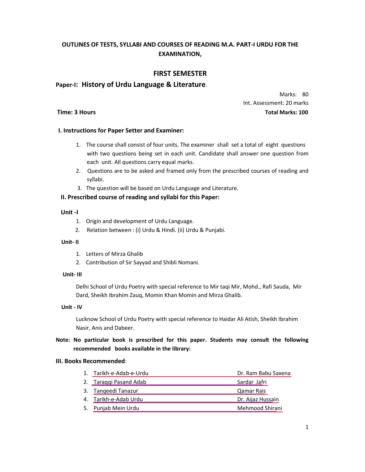### **OUTLINES OF TESTS, SYLLABI AND COURSES OF READING M.A. PART-I URDU FOR THE EXAMINATION,**

### **FIRST SEMESTER**

### **Paper-I: History of Urdu Language & Literature**.

Marks: 80 Int. Assessment: 20 marks **Time: 3 Hours Total Marks: 100** 

### **I. Instructions for Paper Setter and Examiner:**

- 1. The course shall consist of four units. The examiner shall set a total of eight questions with two questions being set in each unit. Candidate shall answer one question from each unit. All questions carry equal marks.
- 2. Questions are to be asked and framed only from the prescribed courses of reading and syllabi.
- 3. The question will be based on Urdu Language and Literature.

### **II. Prescribed course of reading and syllabi for this Paper:**

### **Unit -I**

- 1. Origin and development of Urdu Language.
- 2. Relation between : (i) Urdu & Hindi. (ii) Urdu & Punjabi.

### **Unit- II**

- 1. Letters of Mirza Ghalib
- 2. Contribution of Sir Sayyad and Shibli Nomani.

### **Unit- III**

Delhi School of Urdu Poetry with special reference to Mir taqi Mir, Mohd., Rafi Sauda, Mir Dard, Sheikh Ibrahim Zauq, Momin Khan Momin and Mirza Ghalib.

### **Unit - IV**

Lucknow School of Urdu Poetry with special reference to Haidar Ali Atish, Sheikh Ibrahim Nasir, Anis and Dabeer.

### **Note: No particular book is prescribed for this paper. Students may consult the following recommended books available in the library:**

### **III. Books Recommended**:

| 1. Tarikh-e-Adab-e-Urdu | Dr. Ram Babu Saxena |
|-------------------------|---------------------|
| 2. Taraggi Pasand Adab  | Sardar Jafri        |
| 3. Tangeedi Tanazur     | <b>Qamar Rais</b>   |
| 4. Tarikh-e-Adab Urdu   | Dr. Aijaz Hussain   |
| 5. Punjab Mein Urdu     | Mehmood Shirani     |
|                         |                     |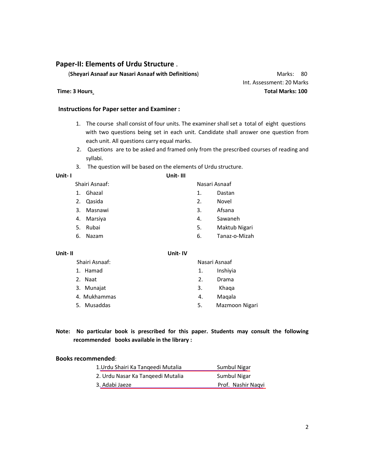### **Paper-II: Elements of Urdu Structure** .

(**Sheyari Asnaaf aur Nasari Asnaaf with Definitions**) Marks: 80

### **Instructions for Paper setter and Examiner :**

- 1. The course shall consist of four units. The examiner shall set a total of eight questions with two questions being set in each unit. Candidate shall answer one question from each unit. All questions carry equal marks.
- 2. Questions are to be asked and framed only from the prescribed courses of reading and syllabi.
- 3. The question will be based on the elements of Urdu structure.

**Unit- I Unit- III** 

|                | Shairi Asnaaf: | Nasari Asnaaf |               |
|----------------|----------------|---------------|---------------|
| $\mathbf{1}$ . | Ghazal         | 1.            | Dastan        |
| 2.             | Qasida         | 2.            | Novel         |
|                | 3. Masnawi     | 3.            | Afsana        |
| 4.             | Marsiya        | 4.            | Sawaneh       |
| -5.            | Rubai          | 5.            | Maktub Nigari |
| 6.             | Nazam          | 6.            | Tanaz-o-Mizah |

### **Unit- II Unit- IV**

| Shairi Asnaaf: |    | Nasari Asnaaf  |
|----------------|----|----------------|
| 1. Hamad       | 1. | Inshivia       |
| 2. Naat        | 2. | Drama          |
| 3. Munajat     | 3. | Khaga          |
| 4. Mukhammas   | 4. | Magala         |
| 5. Musaddas    | 5. | Mazmoon Nigari |
|                |    |                |

**Note: No particular book is prescribed for this paper. Students may consult the following recommended books available in the library :**

### **Books recommended**:

| 1. Urdu Shairi Ka Tangeedi Mutalia | Sumbul Nigar       |
|------------------------------------|--------------------|
| 2. Urdu Nasar Ka Tangeedi Mutalia  | Sumbul Nigar       |
| 3. Adabi Jaeze                     | Prof. Nashir Nagvi |

 Int. Assessment: 20 Marks **Time: 3 Hours Total Marks: 100**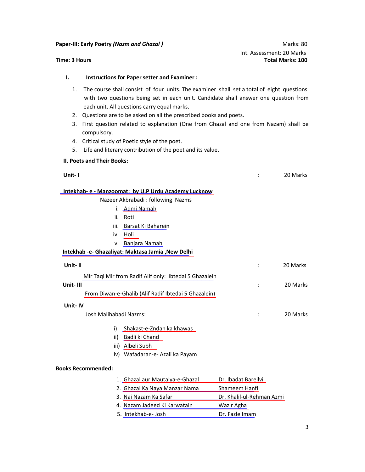**Paper-III: Early Poetry** *(Nazm and Ghazal ) Marks: 80* **Marks: 80** 

 Int. Assessment: 20 Marks **Time: 3 Hours Total Marks: 100** 

### **I. Instructions for Paper setter and Examiner :**

- 1. The course shall consist of four units. The examiner shall set a total of eight questions with two questions being set in each unit. Candidate shall answer one question from each unit. All questions carry equal marks.
- 2. Questions are to be asked on all the prescribed books and poets.
- 3. First question related to explanation (One from Ghazal and one from Nazam) shall be compulsory.
- 4. Critical study of Poetic style of the poet.
- 5. Life and literary contribution of the poet and its value.

### **II. Poets and Their Books:**

| Unit-I                                                 |               | 20 Marks |
|--------------------------------------------------------|---------------|----------|
| Intekhab- e - Manzoomat: by U.P Urdu Academy Lucknow   |               |          |
| Nazeer Akbrabadi : following Nazms                     |               |          |
| i. Admi Namah                                          |               |          |
| ii. Roti                                               |               |          |
| iii. Barsat Ki Baharein                                |               |          |
| iv. Holi                                               |               |          |
| v. Banjara Namah                                       |               |          |
| Intekhab -e- Ghazaliyat: Maktasa Jamia , New Delhi     |               |          |
| Unit-II                                                |               | 20 Marks |
| Mir Taqi Mir from Radif Alif only: Ibtedai 5 Ghazalein |               |          |
| Unit-III                                               |               | 20 Marks |
| From Diwan-e-Ghalib (Alif Radif Ibtedai 5 Ghazalein)   |               |          |
| Unit-IV                                                |               |          |
| Josh Malihabadi Nazms:                                 |               | 20 Marks |
| Shakast-e-Zndan ka khawas<br>i)                        |               |          |
| Badli ki Chand<br>ii)                                  |               |          |
| iii) Albeli Subh                                       |               |          |
| iv) Wafadaran-e- Azali ka Payam                        |               |          |
| <b>Books Recommended:</b>                              |               |          |
| 1. Ghazal aur Mautalya-e-Ghazal Dr. Ibadat Bareilyi    |               |          |
| 2. Ghazal Ka Naya Manzar Nama                          | Shameem Hanfi |          |

- 3. Nai Nazam Ka Safar **Dr. Khalil-ul-Rehman Azmi**
- 4. Nazam Jadeed Ki Karwatain Mazir Agha
- 5. Intekhab-e- Josh Dr. Fazle Imam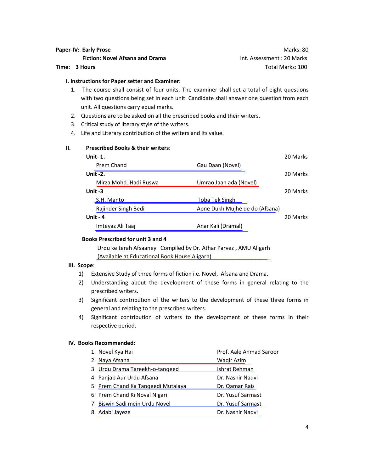# **Paper-IV: Early Prose and American Security Proper-IV: Early Prose and American Security Proper-IV: Early Prose**

**Fiction: Novel Afsana and Drama** Int. Assessment : 20 Marks **Time: 3 Hours** Total Marks: 100

### **I. Instructions for Paper setter and Examiner:**

- 1. The course shall consist of four units. The examiner shall set a total of eight questions with two questions being set in each unit. Candidate shall answer one question from each unit. All questions carry equal marks.
- 2. Questions are to be asked on all the prescribed books and their writers.
- 3. Critical study of literary style of the writers.
- 4. Life and Literary contribution of the writers and its value.

### **II. Prescribed Books & their writers**:

| Unit- 1.               |                                | 20 Marks |
|------------------------|--------------------------------|----------|
| Prem Chand             | Gau Daan (Novel)               |          |
| Unit -2.               |                                | 20 Marks |
| Mirza Mohd. Hadi Ruswa | Umrao Jaan ada (Novel)         |          |
| Unit -3                |                                | 20 Marks |
| S.H. Manto             | <u>Toba Tek Singh L</u>        |          |
| Rajinder Singh Bedi    | Apne Dukh Mujhe de do (Afsana) |          |
| Unit - 4               |                                | 20 Marks |
| Imteyaz Ali Taaj       | Anar Kali (Dramal)             |          |
|                        |                                |          |

### **Books Prescribed for unit 3 and 4**

[\\_\\_\\_\\_\\_\\_\\_\\_\\_\\_\\_\\_\\_\\_\\_\\_\\_\\_\\_\\_\\_\\_\\_\\_\\_\\_\\_\\_\\_\\_\\_\\_\\_\\_\\_\\_\\_\\_\\_\\_\\_\\_\\_](https://www.rekhta.org/ebooks/urdu-ke-tera-afsane-ebooks?lang=ur) (Available at Educational Book House Aligarh) Urdu ke terah Afsaaney Compiled by Dr. Athar Parvez , AMU Aligarh

### **III. Scope**:

- 1) Extensive Study of three forms of fiction i.e. Novel, Afsana and Drama.
- 2) Understanding about the development of these forms in general relating to the prescribed writers.
- 3) Significant contribution of the writers to the development of these three forms in general and relating to the prescribed writers.
- 4) Significant contribution of writers to the development of these forms in their respective period.

### **IV. Books Recommended**:

| 1. Novel Kya Hai                   | Prof. Aale Ahmad Saroor  |
|------------------------------------|--------------------------|
| 2. Naya Afsana                     | <b>Wagir Azim</b>        |
| 3. Urdu Drama Tareekh-o-tangeed    | Ishrat Rehman            |
| 4. Panjab Aur Urdu Afsana          | Dr. Nashir Naqvi         |
| 5. Prem Chand Ka Tangeedi Mutalaya | Dr. Qamar Rais           |
| 6. Prem Chand Ki Noval Nigari      | Dr. Yusuf Sarmast        |
| 7. Biswin Sadi mein Urdu Novel     | <b>Dr. Yusuf Sarmast</b> |
| 8. Adabi Jayeze                    | Dr. Nashir Naqvi         |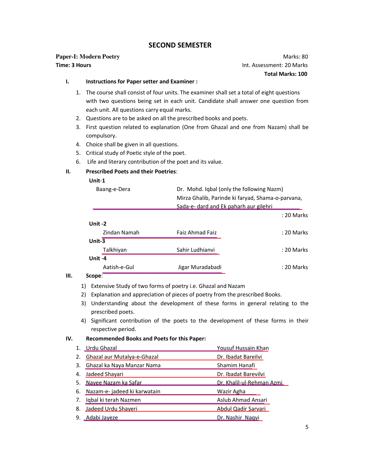### **SECOND SEMESTER**

# **Paper-I: Modern Poetry** *Marks: 80*

**Time: 3 Hours Intervention Community Community Community Community Community Community Community Community Community Community Community Community Community Community Community Community Community Community Community Co Total Marks: 100** 

### **I. Instructions for Paper setter and Examiner :**

- 1. The course shall consist of four units. The examiner shall set a total of eight questions with two questions being set in each unit. Candidate shall answer one question from each unit. All questions carry equal marks.
- 2. Questions are to be asked on all the prescribed books and poets.
- 3. First question related to explanation (One from Ghazal and one from Nazam) shall be compulsory.
- 4. Choice shall be given in all questions.
- 5. Critical study of Poetic style of the poet.
- 6. Life and literary contribution of the poet and its value.

### **II. Prescribed Poets and their Poetries**:

### **Unit**-**1**

|    | Dr. Mohd. Iqbal (only the following Nazm)<br>Baang-e-Dera |                                                   |            |
|----|-----------------------------------------------------------|---------------------------------------------------|------------|
|    |                                                           | Mirza Ghalib, Parinde ki faryad, Shama-o-parvana, |            |
|    |                                                           | Sada-e- dard and Ek paharh aur gilehri            |            |
|    |                                                           |                                                   | : 20 Marks |
|    | Unit-2                                                    |                                                   |            |
|    | Zindan Namah                                              | Faiz Ahmad Faiz                                   | : 20 Marks |
|    | Unit-3                                                    |                                                   |            |
|    | Talkhiyan                                                 | Sahir Ludhianvi                                   | : 20 Marks |
|    | Unit-4                                                    |                                                   |            |
|    | Aatish-e-Gul                                              | Jigar Muradabadi                                  | : 20 Marks |
| Ш. | Scope:                                                    |                                                   |            |

- 1) Extensive Study of two forms of poetry i.e. Ghazal and Nazam
- 2) Explanation and appreciation of pieces of poetry from the prescribed Books.
- 3) Understanding about the development of these forms in general relating to the prescribed poets.
- 4) Significant contribution of the poets to the development of these forms in their respective period.

### **IV. Recommended Books and Poets for this Paper:**

| 1. Urdu Ghazal                  | Yousuf Hussain Khan       |
|---------------------------------|---------------------------|
| 2. Ghazal aur Mutalya-e-Ghazal  | Dr. Ibadat Bareilvi       |
| 3. Ghazal ka Naya Manzar Nama   | Shamim Hanafi             |
| 4. Jadeed Shayari               | Dr. Ibadat Barevilvi      |
| 5. Nayee Nazam ka Safar         | Dr. Khalil-ul-Rehman Azmi |
| 6. Nazam-e- jadeed ki karwatain | Wazir Agha                |
| 7. Iqbal ki terah Nazmen        | Aslub Ahmad Ansari        |
| 8. Jadeed Urdu Shayeri          | Abdul Qadir Sarvari       |
| 9. Adabi Jayeze                 | Dr. Nashir Naqvi          |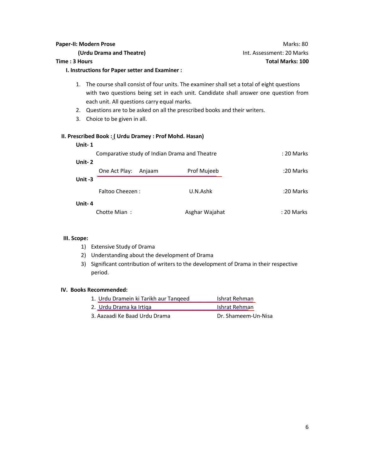**I. Instructions for Paper setter and Examiner :**

- 1. The course shall consist of four units. The examiner shall set a total of eight questions with two questions being set in each unit. Candidate shall answer one question from each unit. All questions carry equal marks.
- 2. Questions are to be asked on all the prescribed books and their writers.
- 3. Choice to be given in all.

### **II. Prescribed Book : ( Urdu Dramey : Prof Mohd. Hasan)**

| Unit-1                                        |                |            |
|-----------------------------------------------|----------------|------------|
| Comparative study of Indian Drama and Theatre |                | : 20 Marks |
| Unit-2                                        |                |            |
| One Act Play:<br>Anjaam                       | Prof Mujeeb    | :20 Marks  |
| Unit-3                                        |                |            |
| Faltoo Cheezen:                               | U.N.Ashk       | :20 Marks  |
| Unit-4                                        |                |            |
| Chotte Mian:                                  | Asghar Wajahat | : 20 Marks |

### **III. Scope:**

- 1) Extensive Study of Drama
- 2) Understanding about the development of Drama
- 3) Significant contribution of writers to the development of Drama in their respective period.

### **IV. Books Recommended:**

| 1. Urdu Dramein ki Tarikh aur Tangeed | Ishrat Rehman       |
|---------------------------------------|---------------------|
| 2. Urdu Drama ka Irtiga               | Ishrat Rehman       |
| 3. Aazaadi Ke Baad Urdu Drama         | Dr. Shameem-Un-Nisa |

### **Paper-II: Modern Prose** Marks: 80 **(Urdu Drama and Theatre)** Int. Assessment: 20 Marks **Time : 3 Hours Total Marks: 100**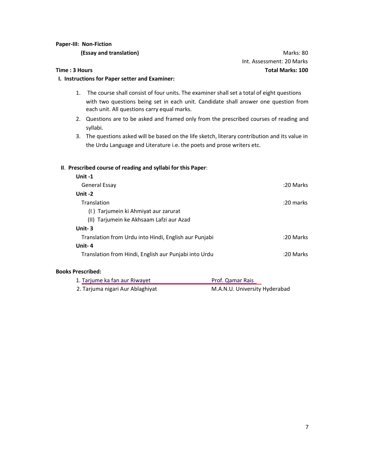### **Paper-III: Non-Fiction**

**(Essay and translation)** Marks: 80

### **Time : 3 Hours Total Marks: 100**

# **I. Instructions for Paper setter and Examiner:**

- 1. The course shall consist of four units. The examiner shall set a total of eight questions with two questions being set in each unit. Candidate shall answer one question from each unit. All questions carry equal marks.
- 2. Questions are to be asked and framed only from the prescribed courses of reading and syllabi.
- 3. The questions asked will be based on the life sketch, literary contribution and its value in the Urdu Language and Literature i.e. the poets and prose writers etc.

### **II**. **Prescribed course of reading and syllabi for this Paper**:

| Unit $-1$                                             |             |
|-------------------------------------------------------|-------------|
| General Essay                                         | :20 Marks   |
| Unit -2                                               |             |
| Translation                                           | $:20$ marks |
| (I) Tarjumein ki Ahmiyat aur zarurat                  |             |
| (II) Tarjumein ke Akhsaam Lafzi aur Azad              |             |
| Unit-3                                                |             |
| Translation from Urdu into Hindi, English aur Punjabi | :20 Marks   |
| Unit-4                                                |             |
| Translation from Hindi, English aur Punjabi into Urdu | :20 Marks   |

### **Books Prescribed:**

| 1. Tarjume ka fan aur Riwayet    | Prof. Qamar Rais              |
|----------------------------------|-------------------------------|
| 2. Tarjuma nigari Aur Ablaghiyat | M.A.N.U. University Hyderabad |

Int. Assessment: 20 Marks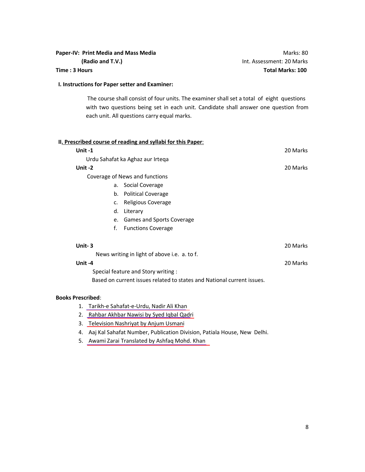### **Paper-IV: Print Media and Mass Media Mathematic Science of American Marks: 80 Marks: 80 Marks: 80 Marks: 80 Marks: 80 Marks: 80 Marks: 80 Marks: 80 Marks: 80 Marks: 80 Marks: 80 Marks: 80 Marks: 80 Marks: 80 Marks: 80 Mar**

 **(Radio and T.V.)** Int. Assessment: 20 Marks **Time : 3 Hours Total Marks: 100** 

### **I. Instructions for Paper setter and Examiner:**

 The course shall consist of four units. The examiner shall set a total of eight questions with two questions being set in each unit. Candidate shall answer one question from each unit. All questions carry equal marks.

### **II. Prescribed course of reading and syllabi for this Paper**:

| Unit-1                   |                                                                        | 20 Marks |
|--------------------------|------------------------------------------------------------------------|----------|
|                          | Urdu Sahafat ka Aghaz aur Irteqa                                       |          |
| Unit-2                   |                                                                        | 20 Marks |
|                          | Coverage of News and functions                                         |          |
|                          | a. Social Coverage                                                     |          |
| b.                       | <b>Political Coverage</b>                                              |          |
| c.                       | Religious Coverage                                                     |          |
| d.                       | Literary                                                               |          |
| e.                       | <b>Games and Sports Coverage</b>                                       |          |
| f.                       | <b>Functions Coverage</b>                                              |          |
| Unit-3                   |                                                                        | 20 Marks |
|                          | News writing in light of above i.e. a. to f.                           |          |
| Unit-4                   |                                                                        | 20 Marks |
|                          | Special feature and Story writing :                                    |          |
|                          | Based on current issues related to states and National current issues. |          |
| <b>Books Prescribed:</b> |                                                                        |          |

- 1. Tarikh-e Sahafat-e-Urdu, Nadir Ali Khan
- 2. Rahbar Akhbar Nawisi by Syed Iqbal Qadri
- 3. [Television Nashriyat by Anjum Usmani](https://www.rekhta.org/ebooks/television-nashriyat-tareekh-tahreer-technic-anjum-usmani-ebooks?lang=ur)
- 4. Aaj Kal Sahafat Number, Publication Division, Patiala House, New Delhi.
- 5. Awami Zarai Translated by Ashfaq Mohd. Khan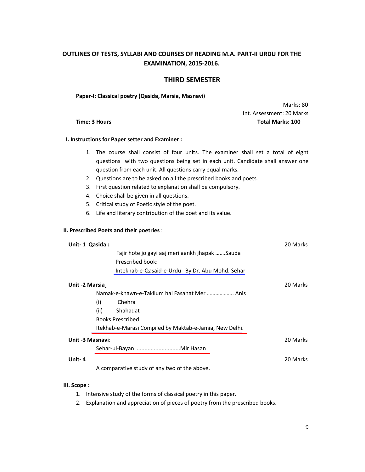### **OUTLINES OF TESTS, SYLLABI AND COURSES OF READING M.A. PART-II URDU FOR THE EXAMINATION, 2015-2016.**

### **THIRD SEMESTER**

**Paper-I: Classical poetry (Qasida, Marsia, Masnavi**)

 Marks: 80 Int. Assessment: 20 Marks **Time: 3 Hours Total Marks: 100**

### **I. Instructions for Paper setter and Examiner :**

- 1. The course shall consist of four units. The examiner shall set a total of eight questions with two questions being set in each unit. Candidate shall answer one question from each unit. All questions carry equal marks.
- 2. Questions are to be asked on all the prescribed books and poets.
- 3. First question related to explanation shall be compulsory.
- 4. Choice shall be given in all questions.
- 5. Critical study of Poetic style of the poet.
- 6. Life and literary contribution of the poet and its value.

### **II. Prescribed Poets and their poetries** :

| Unit-1 Qasida:   |      |                                                                    | 20 Marks |
|------------------|------|--------------------------------------------------------------------|----------|
|                  |      | Fajir hote jo gayi aaj meri aankh jhapak Sauda<br>Prescribed book: |          |
|                  |      | Intekhab-e-Qasaid-e-Urdu By Dr. Abu Mohd. Sehar                    |          |
| Unit -2 Marsia : |      |                                                                    | 20 Marks |
|                  |      | Namak-e-khawn-e-Takllum hai Fasahat Mer  Anis                      |          |
|                  | (i)  | Chehra                                                             |          |
|                  | (ii) | Shahadat                                                           |          |
|                  |      | <b>Books Prescribed</b>                                            |          |
|                  |      | Itekhab-e-Marasi Compiled by Maktab-e-Jamia, New Delhi.            |          |
| Unit -3 Masnavi: |      |                                                                    | 20 Marks |
|                  |      | Sehar-ul-Bayan Mir Hasan                                           |          |
| Unit-4           |      |                                                                    | 20 Marks |
|                  |      | A comparative study of any two of the above.                       |          |

### **III. Scope :**

- 1. Intensive study of the forms of classical poetry in this paper.
- 2. Explanation and appreciation of pieces of poetry from the prescribed books.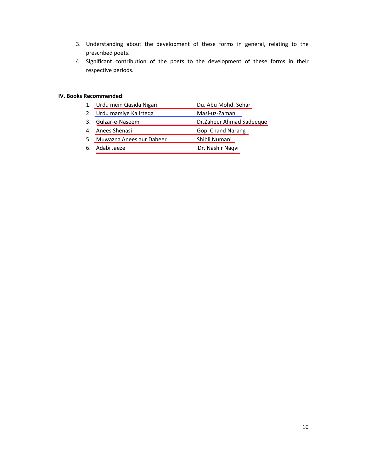- 3. Understanding about the development of these forms in general, relating to the prescribed poets.
- 4. Significant contribution of the poets to the development of these forms in their respective periods.

### **IV. Books Recommended**:

- 1. Urdu mein Qasida Nigari Pulling Du. Abu Mohd. Sehar
- 2. Urdu marsiye Ka Irteqa Masi-uz-Zaman
- 3. Gulzar-e-Naseem Dr.Zaheer Ahmad Sadeeque
- 4. Anees Shenasi Gopi Chand Narang
- 5. Muwazna Anees aur Dabeer Shibli Numani
- 6. Adabi Jaeze Dr. Nashir Naqvi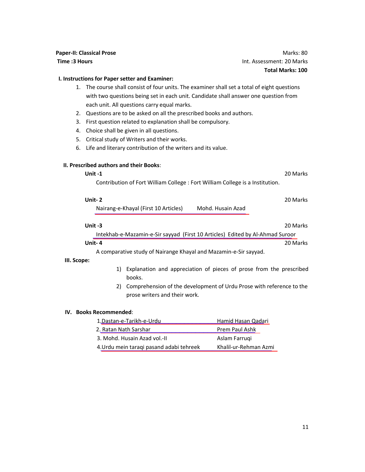|                                            | <b>Paper-II: Classical Prose</b>                                                                                                  | Marks: 80 |  |  |
|--------------------------------------------|-----------------------------------------------------------------------------------------------------------------------------------|-----------|--|--|
| Int. Assessment: 20 Marks<br>Time: 3 Hours |                                                                                                                                   |           |  |  |
| <b>Total Marks: 100</b>                    |                                                                                                                                   |           |  |  |
|                                            | I. Instructions for Paper setter and Examiner:                                                                                    |           |  |  |
| 1.                                         | The course shall consist of four units. The examiner shall set a total of eight questions                                         |           |  |  |
|                                            | with two questions being set in each unit. Candidate shall answer one question from                                               |           |  |  |
|                                            | each unit. All questions carry equal marks.                                                                                       |           |  |  |
| 2.                                         | Questions are to be asked on all the prescribed books and authors.                                                                |           |  |  |
| 3.                                         | First question related to explanation shall be compulsory.                                                                        |           |  |  |
| 4.                                         | Choice shall be given in all questions.                                                                                           |           |  |  |
| 5.                                         | Critical study of Writers and their works.                                                                                        |           |  |  |
| 6.                                         | Life and literary contribution of the writers and its value.                                                                      |           |  |  |
|                                            | II. Prescribed authors and their Books:<br>Unit-1<br>Contribution of Fort William College: Fort William College is a Institution. | 20 Marks  |  |  |
|                                            |                                                                                                                                   |           |  |  |
|                                            | Unit-2                                                                                                                            | 20 Marks  |  |  |
|                                            | Mohd. Husain Azad<br>Nairang-e-Khayal (First 10 Articles)                                                                         |           |  |  |
|                                            | Unit-3                                                                                                                            | 20 Marks  |  |  |
|                                            | Intekhab-e-Mazamin-e-Sir sayyad (First 10 Articles) Edited by Al-Ahmad Suroor                                                     |           |  |  |
|                                            | Unit-4                                                                                                                            | 20 Marks  |  |  |
|                                            | A comparative study of Nairange Khayal and Mazamin-e-Sir sayyad.                                                                  |           |  |  |
| III. Scope:                                |                                                                                                                                   |           |  |  |
|                                            | Explanation and appreciation of pieces of prose from the prescribed<br>1)                                                         |           |  |  |
|                                            | books.                                                                                                                            |           |  |  |

2) Comprehension of the development of Urdu Prose with reference to the prose writers and their work.

### **IV. Books Recommended**:

| 1.Dastan-e-Tarikh-e-Urdu                 | <b>Hamid Hasan Qadari</b> |
|------------------------------------------|---------------------------|
| 2. Ratan Nath Sarshar                    | Prem Paul Ashk            |
| 3. Mohd. Husain Azad vol.-II             | Aslam Farrugi             |
| 4. Urdu mein taragi pasand adabi tehreek | Khalil-ur-Rehman Azmi     |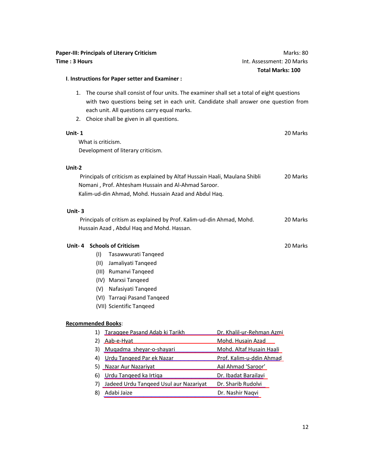### **I**. **Instructions for Paper setter and Examiner :**

- 1. The course shall consist of four units. The examiner shall set a total of eight questions with two questions being set in each unit. Candidate shall answer one question from each unit. All questions carry equal marks.
- 2. Choice shall be given in all questions.

# **Unit- 1** 20 Marks What is criticism. Development of literary criticism. **Unit-2**  Principals of criticism as explained by Altaf Hussain Haali, Maulana Shibli 20 Marks Nomani , Prof. Ahtesham Hussain and Al-Ahmad Saroor. Kalim-ud-din Ahmad, Mohd. Hussain Azad and Abdul Haq.  **Unit- 3**  Principals of critism as explained by Prof. Kalim-ud-din Ahmad, Mohd. 20 Marks Hussain Azad , Abdul Haq and Mohd. Hassan.  **Unit- 4 Schools of Criticism** 20 Marks (I) Tasawwurati Tanqeed (II) Jamaliyati Tanqeed

- 
- (III) Rumanvi Tanqeed
- (IV) Marxsi Tanqeed
- (V) Nafasiyati Tanqeed
- (VI) Tarraqi Pasand Tanqeed
- (VII) Scientific Tanqeed

### **Recommended Books**:

|    | Taraggee Pasand Adab ki Tarikh            | Dr. Khalil-ur-Rehman Azmi       |
|----|-------------------------------------------|---------------------------------|
|    | Aab-e-Hyat                                | Mohd. Husain Azad               |
| 3) | Muqadma sheyar-o-shayari                  | Mohd. Altaf Husain Haali        |
| 4) | Urdu Tangeed Par ek Nazar                 | <u>Prof. Kalim-u-ddin Ahmad</u> |
|    | 5) Nazar Aur Nazariyat                    | Aal Ahmad 'Saroor'              |
| 6) | Urdu Tangeed ka Irtiga                    | Dr. Ibadat Barailavi            |
|    | 7) Jadeed Urdu Tangeed Usul aur Nazariyat | Dr. Sharib Rudolvi              |
| 8  | Adabi Jaize                               | Dr. Nashir Naqvi                |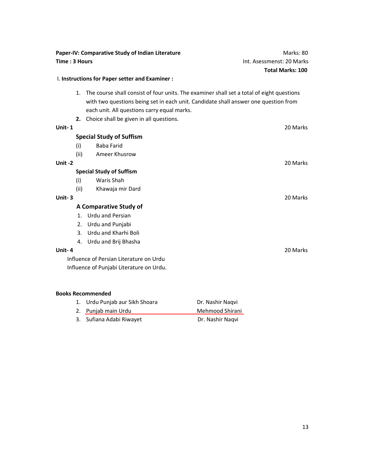| Paper-IV: Comparative Study of Indian Literature                                                                                                                                                                                      | Marks: 80                 |
|---------------------------------------------------------------------------------------------------------------------------------------------------------------------------------------------------------------------------------------|---------------------------|
| Time: 3 Hours                                                                                                                                                                                                                         | Int. Asessmenst: 20 Marks |
|                                                                                                                                                                                                                                       | <b>Total Marks: 100</b>   |
| I. Instructions for Paper setter and Examiner :                                                                                                                                                                                       |                           |
| The course shall consist of four units. The examiner shall set a total of eight questions<br>1.<br>with two questions being set in each unit. Candidate shall answer one question from<br>each unit. All questions carry equal marks. |                           |
| Choice shall be given in all questions.<br>2.                                                                                                                                                                                         |                           |
| Unit-1                                                                                                                                                                                                                                | 20 Marks                  |
| <b>Special Study of Suffism</b>                                                                                                                                                                                                       |                           |
| <b>Baba Farid</b><br>(i)                                                                                                                                                                                                              |                           |
| (ii)<br>Ameer Khusrow                                                                                                                                                                                                                 |                           |
| Unit-2                                                                                                                                                                                                                                | 20 Marks                  |
| <b>Special Study of Suffism</b>                                                                                                                                                                                                       |                           |
| Waris Shah<br>(i)                                                                                                                                                                                                                     |                           |
| (ii)<br>Khawaja mir Dard                                                                                                                                                                                                              |                           |
| Unit-3                                                                                                                                                                                                                                | 20 Marks                  |
| A Comparative Study of                                                                                                                                                                                                                |                           |
| <b>Urdu and Persian</b><br>$1_{-}$                                                                                                                                                                                                    |                           |
| Urdu and Punjabi<br>2.                                                                                                                                                                                                                |                           |
| Urdu and Kharhi Boli<br>3.                                                                                                                                                                                                            |                           |
| Urdu and Brij Bhasha<br>4.                                                                                                                                                                                                            |                           |
| Unit-4                                                                                                                                                                                                                                | 20 Marks                  |
| Influence of Persian Literature on Urdu                                                                                                                                                                                               |                           |
| Influence of Punjabi Literature on Urdu.                                                                                                                                                                                              |                           |
|                                                                                                                                                                                                                                       |                           |
| <b>Books Recommended</b>                                                                                                                                                                                                              |                           |

| 1. Urdu Punjab aur Sikh Shoara | Dr. Nashir Nagvi |
|--------------------------------|------------------|
| 2. Punjab main Urdu            | Mehmood Shirani  |
| 3. Sufiana Adabi Riwayet       | Dr. Nashir Nagvi |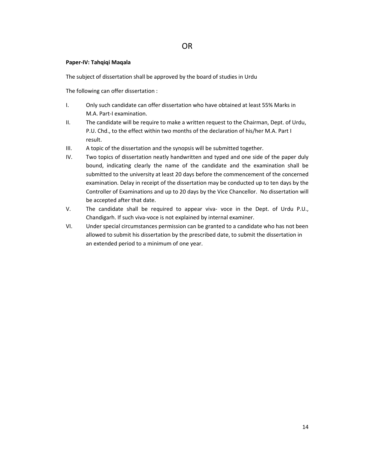### **Paper-IV: Tahqiqi Maqala**

The subject of dissertation shall be approved by the board of studies in Urdu

The following can offer dissertation :

- I. Only such candidate can offer dissertation who have obtained at least 55% Marks in M.A. Part-I examination.
- II. The candidate will be require to make a written request to the Chairman, Dept. of Urdu, P.U. Chd., to the effect within two months of the declaration of his/her M.A. Part I result.
- III. A topic of the dissertation and the synopsis will be submitted together.
- IV. Two topics of dissertation neatly handwritten and typed and one side of the paper duly bound, indicating clearly the name of the candidate and the examination shall be submitted to the university at least 20 days before the commencement of the concerned examination. Delay in receipt of the dissertation may be conducted up to ten days by the Controller of Examinations and up to 20 days by the Vice Chancellor. No dissertation will be accepted after that date.
- V. The candidate shall be required to appear viva- voce in the Dept. of Urdu P.U., Chandigarh. If such viva-voce is not explained by internal examiner.
- VI. Under special circumstances permission can be granted to a candidate who has not been allowed to submit his dissertation by the prescribed date, to submit the dissertation in an extended period to a minimum of one year.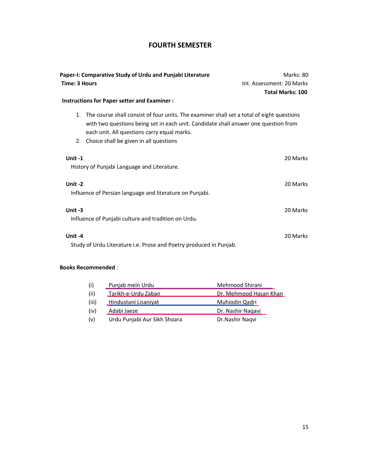### **FOURTH SEMESTER**

| Paper-I: Comparative Study of Urdu and Punjabi Literature                                                                                                                                                                                                                             | Marks: 80                 |
|---------------------------------------------------------------------------------------------------------------------------------------------------------------------------------------------------------------------------------------------------------------------------------------|---------------------------|
| Time: 3 Hours                                                                                                                                                                                                                                                                         | Int. Assessment: 20 Marks |
|                                                                                                                                                                                                                                                                                       | <b>Total Marks: 100</b>   |
| Instructions for Paper setter and Examiner :                                                                                                                                                                                                                                          |                           |
| The course shall consist of four units. The examiner shall set a total of eight questions<br>1.<br>with two questions being set in each unit. Candidate shall answer one question from<br>each unit. All questions carry equal marks.<br>Choice shall be given in all questions<br>2. |                           |
| Unit $-1$<br>History of Punjabi Language and Literature.                                                                                                                                                                                                                              | 20 Marks                  |
| Unit-2<br>Influence of Persian language and literature on Punjabi.                                                                                                                                                                                                                    | 20 Marks                  |
| Unit-3<br>Influence of Punjabi culture and tradition on Urdu.                                                                                                                                                                                                                         | 20 Marks                  |
| Unit-4<br>Study of Urdu Literature i.e. Prose and Poetry produced in Punjab.                                                                                                                                                                                                          | 20 Marks                  |

### **Books Recommended** :

| (i)   | Punjab mein Urdu             | Mehmood Shirani        |
|-------|------------------------------|------------------------|
| (ii)  | Tarikh-e-Urdu Zaban          | Dr. Mehmood Hasan Khan |
| (iii) | <b>Hindustani Lisaniyat</b>  | Muhiodin Qadri         |
| (iv)  | Adabi Jaeze                  | Dr. Nashir Nagavi      |
| (v)   | Urdu Punjabi Aur Sikh Shoara | Dr.Nashir Nagvi        |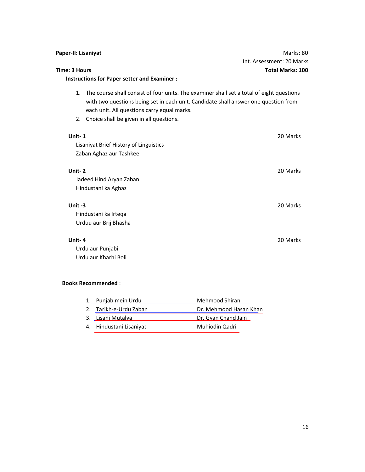| Paper-II: Lisaniyat                                                                                                                                                                                                                                                                 | Marks: 80                 |
|-------------------------------------------------------------------------------------------------------------------------------------------------------------------------------------------------------------------------------------------------------------------------------------|---------------------------|
|                                                                                                                                                                                                                                                                                     | Int. Assessment: 20 Marks |
| Time: 3 Hours                                                                                                                                                                                                                                                                       | <b>Total Marks: 100</b>   |
| <b>Instructions for Paper setter and Examiner:</b>                                                                                                                                                                                                                                  |                           |
| The course shall consist of four units. The examiner shall set a total of eight questions<br>1.<br>with two questions being set in each unit. Candidate shall answer one question from<br>each unit. All questions carry equal marks.<br>2. Choice shall be given in all questions. |                           |
| Unit-1                                                                                                                                                                                                                                                                              | 20 Marks                  |
| Lisaniyat Brief History of Linguistics                                                                                                                                                                                                                                              |                           |
| Zaban Aghaz aur Tashkeel                                                                                                                                                                                                                                                            |                           |
| Unit-2                                                                                                                                                                                                                                                                              | 20 Marks                  |
| Jadeed Hind Aryan Zaban                                                                                                                                                                                                                                                             |                           |
| Hindustani ka Aghaz                                                                                                                                                                                                                                                                 |                           |
| Unit-3                                                                                                                                                                                                                                                                              | 20 Marks                  |
| Hindustani ka Irteqa                                                                                                                                                                                                                                                                |                           |
| Urduu aur Brij Bhasha                                                                                                                                                                                                                                                               |                           |
| Unit-4                                                                                                                                                                                                                                                                              | 20 Marks                  |
| Urdu aur Punjabi                                                                                                                                                                                                                                                                    |                           |
| Urdu aur Kharhi Boli                                                                                                                                                                                                                                                                |                           |
| <b>Books Recommended:</b>                                                                                                                                                                                                                                                           |                           |

| 1. Punjab mein Urdu     | Mehmood Shirani        |
|-------------------------|------------------------|
| 2. Tarikh-e-Urdu Zaban  | Dr. Mehmood Hasan Khan |
| 3. Lisani Mutalya       | Dr. Gyan Chand Jain    |
| 4. Hindustani Lisaniyat | Muhiodin Qadri         |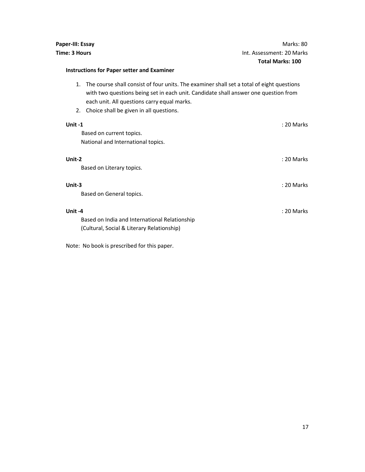### **Instructions for Paper setter and Examiner**

- 1. The course shall consist of four units. The examiner shall set a total of eight questions with two questions being set in each unit. Candidate shall answer one question from each unit. All questions carry equal marks.
- 2. Choice shall be given in all questions.

| Unit-1                                        | : 20 Marks |
|-----------------------------------------------|------------|
| Based on current topics.                      |            |
| National and International topics.            |            |
| Unit-2                                        | : 20 Marks |
| Based on Literary topics.                     |            |
| Unit-3                                        | : 20 Marks |
| Based on General topics.                      |            |
| Unit-4                                        | : 20 Marks |
| Based on India and International Relationship |            |
| (Cultural, Social & Literary Relationship)    |            |

Note: No book is prescribed for this paper.